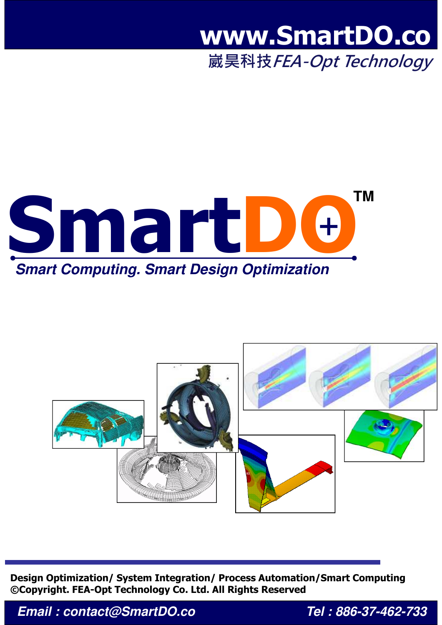## **www.SmartDO.co**

崴昊科技 FEA-Opt Technology





**Design Optimization/ System Integration/ Process Automation/Smart Computing ©Copyright. FEA-Opt Technology Co. Ltd. All Rights Reserved**

*Email : contact@SmartDO.co Tel : 886-37-462-733*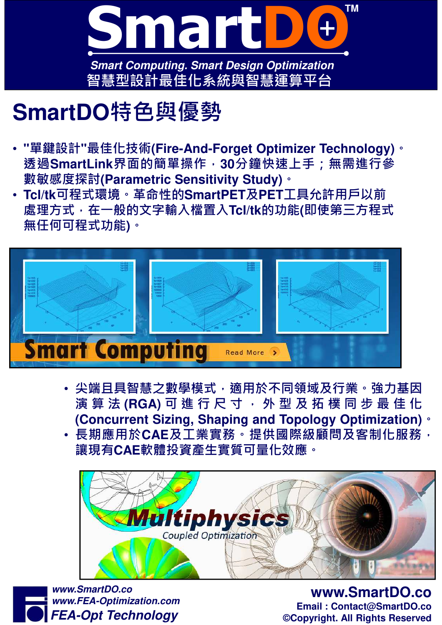

## **SmartDO**特色與優勢

- **"**單鍵設計**"**最佳化技術**(Fire-And-Forget Optimizer Technology)**。 透過**SmartLink**界面的簡單操作,**30**分鐘快速上手;無需進行參 數敏感度探討**(Parametric Sensitivity Study)**。
- **Tcl/tk**可程式環境。革命性的**SmartPET**及**PET**工具允許用戶以前 處理⽅式,在⼀般的文字輸入檔置入**Tcl/tk**的功能**(**即使第三⽅程式 無任何可程式功能**)**。



- 尖端且具智慧之數學模式,適用於不同領域及行業。強力基因 演 算 法 (RGA) 可 進 行 尺 寸 · 外 型 及 拓 樸 同 步 最 佳 化 **(Concurrent Sizing, Shaping and Topology Optimization)**。
- · 長期應用於CAE及工業實務。提供國際級顧問及客制化服務, 讓現有**CAE**軟體投資產生實質可量化效應。



*FEA-Opt Technology www.SmartDO.co www.FEA-Optimization.com*

**www.SmartDO.co Email : Contact@SmartDO.co ©Copyright. All Rights Reserved**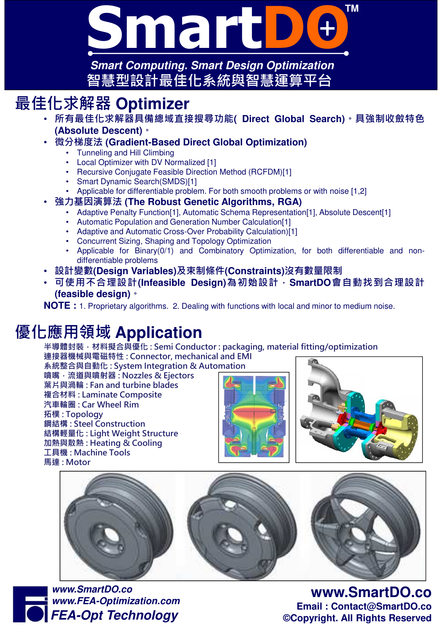

*Smart Computing. Smart Design Optimization* 智慧型設計最佳化系統與智慧運算平台

## 最佳化求解器 **Optimizer**

- 所有最佳化求解器具備總域直接搜尋功能**( Direct Global Search)**。具強制收斂特色 **(Absolute Descent)**。
- 微分梯度法 **(Gradient-Based Direct Global Optimization)**
	- Tunneling and Hill Climbing
	- Local Optimizer with DV Normalized [1]
	- Recursive Conjugate Feasible Direction Method (RCFDM)[1]
	- Smart Dynamic Search(SMDS)[1]
	- Applicable for differentiable problem. For both smooth problems or with noise [1,2]
- 強力基因演算法 **(The Robust Genetic Algorithms, RGA)**
	- Adaptive Penalty Function[1], Automatic Schema Representation[1], Absolute Descent[1]
	- Automatic Population and Generation Number Calculation[1]
	- Adaptive and Automatic Cross-Over Probability Calculation)[1]
	- Concurrent Sizing, Shaping and Topology Optimization
	- Applicable for Binary(0/1) and Combinatory Optimization, for both differentiable and nondifferentiable problems
- 設計變數**(Design Variables)**及束制條件**(Constraints)**沒有數量限制
- 可使用不合理設計**(Infeasible Design)**為初始設計,**SmartDO**會自動找到合理設計 **(feasible design)**。

**NOTE :** 1. Proprietary algorithms. 2. Dealing with functions with local and minor to medium noise.

## 優化應用領域 **Application**

半導體封裝,材料擬合與優化: Semi Conductor : packaging, material fitting/optimization

連接器機械與電磁特性 : Connector, mechanical and EMI

系統整合與自動化 : System Integration & Automation

噴嘴,流道與噴射器 : Nozzles & Ejectors 葉片與渦輪 : Fan and turbine blades 複合材料 : Laminate Composite 汽車輪圈 : Car Wheel Rim 拓樸 : Topology 鋼結構 : Steel Construction 結構輕量化 : Light Weight Structure 加熱與散熱 : Heating & Cooling 工具機 : Machine Tools 馬達 : Motor









**www.SmartDO.co Email : Contact@SmartDO.co ©Copyright. All Rights Reserved**